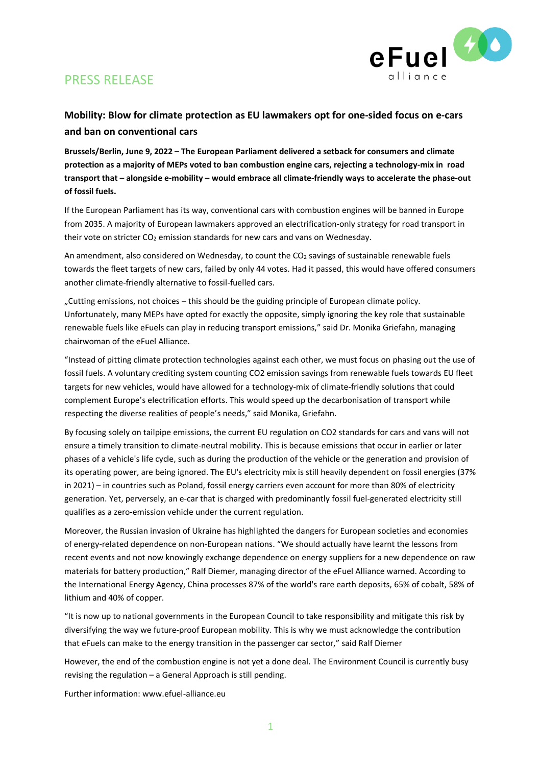

# PRESS RELEASE

### **Mobility: Blow for climate protection as EU lawmakers opt for one-sided focus on e-cars and ban on conventional cars**

**Brussels/Berlin, June 9, 2022 – The European Parliament delivered a setback for consumers and climate protection as a majority of MEPs voted to ban combustion engine cars, rejecting a technology-mix in road transport that – alongside e-mobility – would embrace all climate-friendly ways to accelerate the phase-out of fossil fuels.**

If the European Parliament has its way, conventional cars with combustion engines will be banned in Europe from 2035. A majority of European lawmakers approved an electrification-only strategy for road transport in their vote on stricter CO<sub>2</sub> emission standards for new cars and vans on Wednesday.

An amendment, also considered on Wednesday, to count the  $CO<sub>2</sub>$  savings of sustainable renewable fuels towards the fleet targets of new cars, failed by only 44 votes. Had it passed, this would have offered consumers another climate-friendly alternative to fossil-fuelled cars.

"Cutting emissions, not choices – this should be the guiding principle of European climate policy. Unfortunately, many MEPs have opted for exactly the opposite, simply ignoring the key role that sustainable renewable fuels like eFuels can play in reducing transport emissions," said Dr. Monika Griefahn, managing chairwoman of the eFuel Alliance.

"Instead of pitting climate protection technologies against each other, we must focus on phasing out the use of fossil fuels. A voluntary crediting system counting CO2 emission savings from renewable fuels towards EU fleet targets for new vehicles, would have allowed for a technology-mix of climate-friendly solutions that could complement Europe's electrification efforts. This would speed up the decarbonisation of transport while respecting the diverse realities of people's needs," said Monika, Griefahn.

By focusing solely on tailpipe emissions, the current EU regulation on CO2 standards for cars and vans will not ensure a timely transition to climate-neutral mobility. This is because emissions that occur in earlier or later phases of a vehicle's life cycle, such as during the production of the vehicle or the generation and provision of its operating power, are being ignored. The EU's electricity mix is still heavily dependent on fossil energies (37% in 2021) – in countries such as Poland, fossil energy carriers even account for more than 80% of electricity generation. Yet, perversely, an e-car that is charged with predominantly fossil fuel-generated electricity still qualifies as a zero-emission vehicle under the current regulation.

Moreover, the Russian invasion of Ukraine has highlighted the dangers for European societies and economies of energy-related dependence on non-European nations. "We should actually have learnt the lessons from recent events and not now knowingly exchange dependence on energy suppliers for a new dependence on raw materials for battery production," Ralf Diemer, managing director of the eFuel Alliance warned. According to the International Energy Agency, China processes 87% of the world's rare earth deposits, 65% of cobalt, 58% of lithium and 40% of copper.

"It is now up to national governments in the European Council to take responsibility and mitigate this risk by diversifying the way we future-proof European mobility. This is why we must acknowledge the contribution that eFuels can make to the energy transition in the passenger car sector," said Ralf Diemer

However, the end of the combustion engine is not yet a done deal. The Environment Council is currently busy revising the regulation – a General Approach is still pending.

Further information: www.efuel-alliance.eu